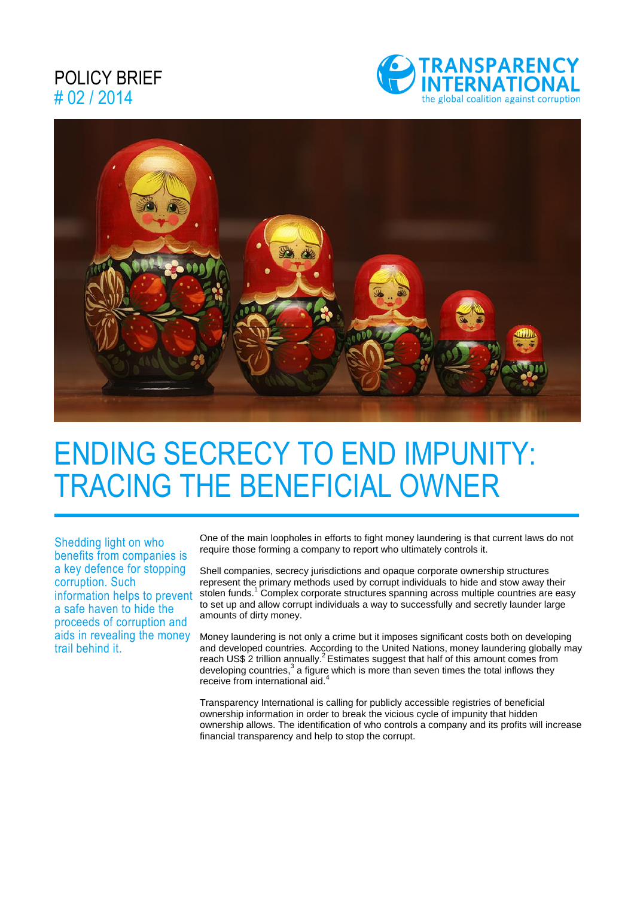### POLICY BRIEF # 02 / 2014





# ENDING SECRECY TO END IMPUNITY: TRACING THE BENEFICIAL OWNER

Shedding light on who benefits from companies is a key defence for stopping corruption. Such information helps to prevent a safe haven to hide the proceeds of corruption and aids in revealing the money trail behind it.

One of the main loopholes in efforts to fight money laundering is that current laws do not require those forming a company to report who ultimately controls it.

Shell companies, secrecy jurisdictions and opaque corporate ownership structures represent the primary methods used by corrupt individuals to hide and stow away their stolen funds.<sup>1</sup> Complex corporate structures spanning across multiple countries are easy to set up and allow corrupt individuals a way to successfully and secretly launder large amounts of dirty money.

Money laundering is not only a crime but it imposes significant costs both on developing and developed countries. According to the United Nations, money laundering globally may reach US\$ 2 trillion annually.<sup>2</sup> Estimates suggest that half of this amount comes from developing countries, $3$  a figure which is more than seven times the total inflows they receive from international aid.<sup>4</sup>

Transparency International is calling for publicly accessible registries of beneficial ownership information in order to break the vicious cycle of impunity that hidden ownership allows. The identification of who controls a company and its profits will increase financial transparency and help to stop the corrupt.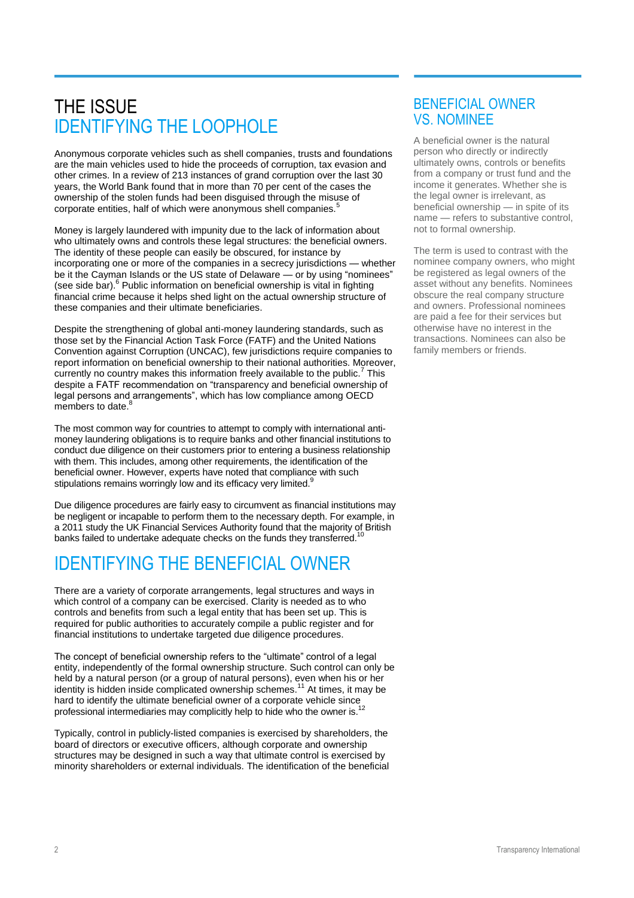## THE ISSUE IDENTIFYING THE LOOPHOLE

Anonymous corporate vehicles such as shell companies, trusts and foundations are the main vehicles used to hide the proceeds of corruption, tax evasion and other crimes. In a review of 213 instances of grand corruption over the last 30 years, the World Bank found that in more than 70 per cent of the cases the ownership of the stolen funds had been disguised through the misuse of corporate entities, half of which were anonymous shell companies.<sup>5</sup>

Money is largely laundered with impunity due to the lack of information about who ultimately owns and controls these legal structures: the beneficial owners. The identity of these people can easily be obscured, for instance by incorporating one or more of the companies in a secrecy jurisdictions — whether be it the Cayman Islands or the US state of Delaware — or by using "nominees" (see side bar).<sup>6</sup> Public information on beneficial ownership is vital in fighting financial crime because it helps shed light on the actual ownership structure of these companies and their ultimate beneficiaries.

Despite the strengthening of global anti-money laundering standards, such as those set by the Financial Action Task Force (FATF) and the United Nations Convention against Corruption (UNCAC), few jurisdictions require companies to report information on beneficial ownership to their national authorities. Moreover, currently no country makes this information freely available to the public.<sup>7</sup> This despite a FATF recommendation on "transparency and beneficial ownership of legal persons and arrangements", which has low compliance among OECD members to date.<sup>8</sup>

The most common way for countries to attempt to comply with international antimoney laundering obligations is to require banks and other financial institutions to conduct due diligence on their customers prior to entering a business relationship with them. This includes, among other requirements, the identification of the beneficial owner. However, experts have noted that compliance with such stipulations remains worringly low and its efficacy very limited.<sup>9</sup>

Due diligence procedures are fairly easy to circumvent as financial institutions may be negligent or incapable to perform them to the necessary depth. For example, in a 2011 study the UK Financial Services Authority found that the majority of British banks failed to undertake adequate checks on the funds they transferred.

# IDENTIFYING THE BENEFICIAL OWNER

There are a variety of corporate arrangements, legal structures and ways in which control of a company can be exercised. Clarity is needed as to who controls and benefits from such a legal entity that has been set up. This is required for public authorities to accurately compile a public register and for financial institutions to undertake targeted due diligence procedures.

The concept of beneficial ownership refers to the "ultimate" control of a legal entity, independently of the formal ownership structure. Such control can only be held by a natural person (or a group of natural persons), even when his or her identity is hidden inside complicated ownership schemes.<sup>11</sup> At times, it may be hard to identify the ultimate beneficial owner of a corporate vehicle since professional intermediaries may complicitly help to hide who the owner is.<sup>12</sup>

Typically, control in publicly-listed companies is exercised by shareholders, the board of directors or executive officers, although corporate and ownership structures may be designed in such a way that ultimate control is exercised by minority shareholders or external individuals. The identification of the beneficial

### BENEFICIAL OWNER VS. NOMINEE

A beneficial owner is the natural person who directly or indirectly ultimately owns, controls or benefits from a company or trust fund and the income it generates. Whether she is the legal owner is irrelevant, as beneficial ownership — in spite of its name — refers to substantive control, not to formal ownership.

The term is used to contrast with the nominee company owners, who might be registered as legal owners of the asset without any benefits. Nominees obscure the real company structure and owners. Professional nominees are paid a fee for their services but otherwise have no interest in the transactions. Nominees can also be family members or friends.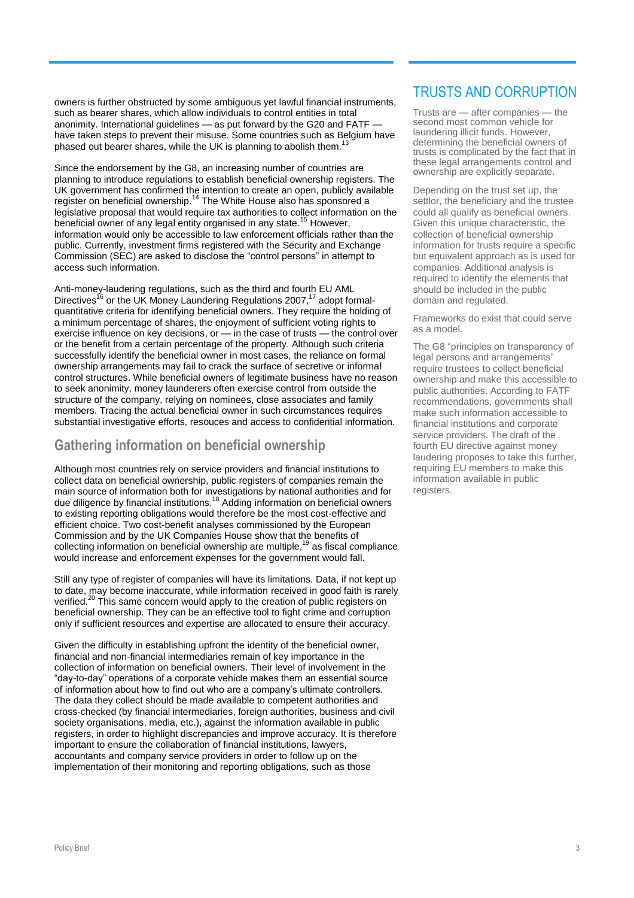owners is further obstructed by some ambiguous yet lawful financial instruments, such as bearer shares, which allow individuals to control entities in total anonimity. International guidelines — as put forward by the G20 and FATF have taken steps to prevent their misuse. Some countries such as Belgium have phased out bearer shares, while the UK is planning to abolish them.

Since the endorsement by the G8, an increasing number of countries are planning to introduce regulations to establish beneficial ownership registers. The UK government has confirmed the intention to create an open, publicly available register on beneficial ownership.<sup>14</sup> The White House also has sponsored a legislative proposal that would require tax authorities to collect information on the beneficial owner of any legal entity organised in any state.<sup>15</sup> However, information would only be accessible to law enforcement officials rather than the public. Currently, investment firms registered with the Security and Exchange Commission (SEC) are asked to disclose the "control persons" in attempt to access such information.

Anti-money-laudering regulations, such as the third and fourth EU AML Directives<sup>16</sup> or the UK Money Laundering Regulations 2007,<sup>17</sup> adopt formalquantitative criteria for identifying beneficial owners. They require the holding of a minimum percentage of shares, the enjoyment of sufficient voting rights to exercise influence on key decisions, or — in the case of trusts — the control over or the benefit from a certain percentage of the property. Although such criteria successfully identify the beneficial owner in most cases, the reliance on formal ownership arrangements may fail to crack the surface of secretive or informal control structures. While beneficial owners of legitimate business have no reason to seek anonimity, money launderers often exercise control from outside the structure of the company, relying on nominees, close associates and family members. Tracing the actual beneficial owner in such circumstances requires substantial investigative efforts, resouces and access to confidential information.

#### **Gathering information on beneficial ownership**

Although most countries rely on service providers and financial institutions to collect data on beneficial ownership, public registers of companies remain the main source of information both for investigations by national authorities and for due diligence by financial institutions.<sup>18</sup> Adding information on beneficial owners to existing reporting obligations would therefore be the most cost-effective and efficient choice. Two cost-benefit analyses commissioned by the European Commission and by the UK Companies House show that the benefits of collecting information on beneficial ownership are multiple, $19$  as fiscal compliance would increase and enforcement expenses for the government would fall.

Still any type of register of companies will have its limitations. Data, if not kept up to date, may become inaccurate, while information received in good faith is rarely verified.<sup>20</sup> This same concern would apply to the creation of public registers on beneficial ownership. They can be an effective tool to fight crime and corruption only if sufficient resources and expertise are allocated to ensure their accuracy.

Given the difficulty in establishing upfront the identity of the beneficial owner, financial and non-financial intermediaries remain of key importance in the collection of information on beneficial owners. Their level of involvement in the "day-to-day" operations of a corporate vehicle makes them an essential source of information about how to find out who are a company's ultimate controllers. The data they collect should be made available to competent authorities and cross-checked (by financial intermediaries, foreign authorities, business and civil society organisations, media, etc.), against the information available in public registers, in order to highlight discrepancies and improve accuracy. It is therefore important to ensure the collaboration of financial institutions, lawyers, accountants and company service providers in order to follow up on the implementation of their monitoring and reporting obligations, such as those

### TRUSTS AND CORRUPTION

Trusts are — after companies — the second most common vehicle for laundering illicit funds. However, determining the beneficial owners of trusts is complicated by the fact that in these legal arrangements control and ownership are explicitly separate.

Depending on the trust set up, the settlor, the beneficiary and the trustee could all qualify as beneficial owners. Given this unique characteristic, the collection of beneficial ownership information for trusts require a specific but equivalent approach as is used for companies. Additional analysis is required to identify the elements that should be included in the public domain and regulated.

Frameworks do exist that could serve as a model.

The G8 "principles on transparency of legal persons and arrangements" require trustees to collect beneficial ownership and make this accessible to public authorities. According to FATF recommendations, governments shall make such information accessible to financial institutions and corporate service providers. The draft of the fourth EU directive against money laudering proposes to take this further, requiring EU members to make this information available in public registers.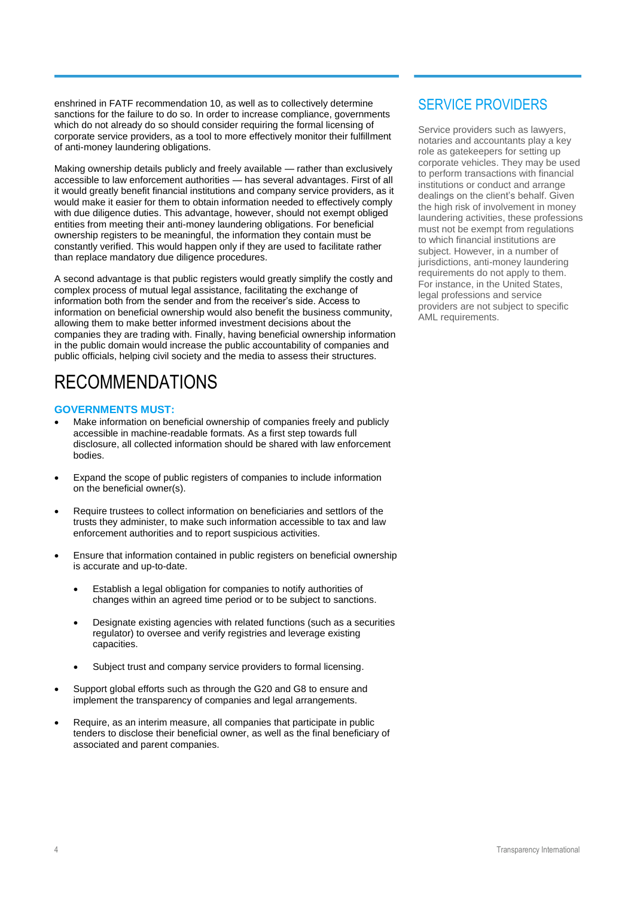enshrined in FATF recommendation 10, as well as to collectively determine sanctions for the failure to do so. In order to increase compliance, governments which do not already do so should consider requiring the formal licensing of corporate service providers, as a tool to more effectively monitor their fulfillment of anti-money laundering obligations.

Making ownership details publicly and freely available — rather than exclusively accessible to law enforcement authorities — has several advantages. First of all it would greatly benefit financial institutions and company service providers, as it would make it easier for them to obtain information needed to effectively comply with due diligence duties. This advantage, however, should not exempt obliged entities from meeting their anti-money laundering obligations. For beneficial ownership registers to be meaningful, the information they contain must be constantly verified. This would happen only if they are used to facilitate rather than replace mandatory due diligence procedures.

A second advantage is that public registers would greatly simplify the costly and complex process of mutual legal assistance, facilitating the exchange of information both from the sender and from the receiver's side. Access to information on beneficial ownership would also benefit the business community, allowing them to make better informed investment decisions about the companies they are trading with. Finally, having beneficial ownership information in the public domain would increase the public accountability of companies and public officials, helping civil society and the media to assess their structures.

# RECOMMENDATIONS

#### **GOVERNMENTS MUST:**

- Make information on beneficial ownership of companies freely and publicly accessible in machine-readable formats. As a first step towards full disclosure, all collected information should be shared with law enforcement bodies.
- Expand the scope of public registers of companies to include information on the beneficial owner(s).
- Require trustees to collect information on beneficiaries and settlors of the trusts they administer, to make such information accessible to tax and law enforcement authorities and to report suspicious activities.
- Ensure that information contained in public registers on beneficial ownership is accurate and up-to-date.
	- Establish a legal obligation for companies to notify authorities of changes within an agreed time period or to be subject to sanctions.
	- Designate existing agencies with related functions (such as a securities regulator) to oversee and verify registries and leverage existing capacities.
	- Subject trust and company service providers to formal licensing.
- Support global efforts such as through the G20 and G8 to ensure and implement the transparency of companies and legal arrangements.
- Require, as an interim measure, all companies that participate in public tenders to disclose their beneficial owner, as well as the final beneficiary of associated and parent companies.

### SERVICE PROVIDERS

Service providers such as lawyers, notaries and accountants play a key role as gatekeepers for setting up corporate vehicles. They may be used to perform transactions with financial institutions or conduct and arrange dealings on the client's behalf. Given the high risk of involvement in money laundering activities, these professions must not be exempt from regulations to which financial institutions are subject. However, in a number of jurisdictions, anti-money laundering requirements do not apply to them. For instance, in the United States, legal professions and service providers are not subject to specific AML requirements.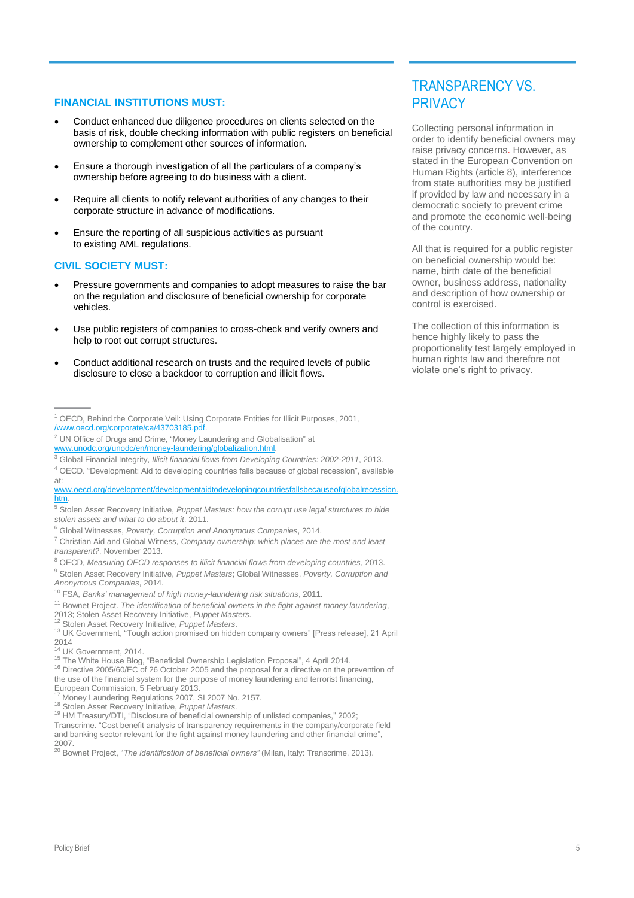#### **FINANCIAL INSTITUTIONS MUST:**

- Conduct enhanced due diligence procedures on clients selected on the basis of risk, double checking information with public registers on beneficial ownership to complement other sources of information.
- Ensure a thorough investigation of all the particulars of a company's ownership before agreeing to do business with a client.
- Require all clients to notify relevant authorities of any changes to their corporate structure in advance of modifications.
- Ensure the reporting of all suspicious activities as pursuant to existing AML regulations.

#### **CIVIL SOCIETY MUST:**

- Pressure governments and companies to adopt measures to raise the bar on the regulation and disclosure of beneficial ownership for corporate vehicles.
- Use public registers of companies to cross-check and verify owners and help to root out corrupt structures.
- Conduct additional research on trusts and the required levels of public disclosure to close a backdoor to corruption and illicit flows.

<sup>6</sup> Global Witnesses, *Poverty, Corruption and Anonymous Companies*, 2014.

- <sup>11</sup> Bownet Project. *The identification of beneficial owners in the fight against money laundering*,
- 2013; Stolen Asset Recovery Initiative, *Puppet Masters.*
- <sup>12</sup> Stolen Asset Recovery Initiative, *Puppet Masters*.

### TRANSPARENCY VS. **PRIVACY**

Collecting personal information in order to identify beneficial owners may raise privacy concerns. However, as stated in the European Convention on Human Rights (article 8), interference from state authorities may be justified if provided by law and necessary in a democratic society to prevent crime and promote the economic well-being of the country.

All that is required for a public register on beneficial ownership would be: name, birth date of the beneficial owner, business address, nationality and description of how ownership or control is exercised.

The collection of this information is hence highly likely to pass the proportionality test largely employed in human rights law and therefore not violate one's right to privacy.

<sup>&</sup>lt;sup>1</sup> OECD, Behind the Corporate Veil: Using Corporate Entities for Illicit Purposes, 2001, [/www.oecd.org/corporate/ca/43703185.pdf.](http://www.oecd.org/corporate/ca/43703185.pdf) 

<sup>2</sup> UN Office of Drugs and Crime, "Money Laundering and Globalisation" at [www.unodc.org/unodc/en/money-laundering/globalization.html.](https://www.unodc.org/unodc/en/money-laundering/globalization.html)

<sup>3</sup> Global Financial Integrity, *Illicit financial flows from Developing Countries: 2002-2011*, 2013.

<sup>4</sup> OECD. "Development: Aid to developing countries falls because of global recession", available at:

[www.oecd.org/development/developmentaidtodevelopingcountriesfallsbecauseofglobalrecession.](http://www.oecd.org/development/developmentaidtodevelopingcountriesfallsbecauseofglobalrecession.htm) [htm.](http://www.oecd.org/development/developmentaidtodevelopingcountriesfallsbecauseofglobalrecession.htm) 

<sup>5</sup> Stolen Asset Recovery Initiative, *Puppet Masters: how the corrupt use legal structures to hide stolen assets and what to do about it*. 2011.

<sup>7</sup> Christian Aid and Global Witness, *Company ownership: which places are the most and least transparent?*, November 2013.

<sup>8</sup> OECD, *Measuring OECD responses to illicit financial flows from developing countries*, 2013.

<sup>9</sup> Stolen Asset Recovery Initiative, *Puppet Masters*; Global Witnesses, *Poverty, Corruption and Anonymous Companies*, 2014.

<sup>10</sup> FSA, *Banks' management of high money-laundering risk situations*, 2011.

<sup>&</sup>lt;sup>13</sup> UK Government, "Tough action promised on hidden company owners" [Press release], 21 April  $2014$ 

UK Government, 2014.

<sup>15</sup> The White House Blog, "Beneficial Ownership Legislation Proposal", 4 April 2014.

<sup>&</sup>lt;sup>16</sup> Directive 2005/60/EC of 26 October 2005 and the proposal for a directive on the prevention of the use of the financial system for the purpose of money laundering and terrorist financing,

European Commission, 5 February 2013.

Money Laundering Regulations 2007, SI 2007 No. 2157.

<sup>18</sup> Stolen Asset Recovery Initiative, *Puppet Masters.*

<sup>19</sup> HM Treasury/DTI, "Disclosure of beneficial ownership of unlisted companies," 2002;

Transcrime. "Cost benefit analysis of transparency requirements in the company/corporate field and banking sector relevant for the fight against money laundering and other financial crime", 2007.

<sup>20</sup> Bownet Project, "*The identification of beneficial owners"* (Milan, Italy: Transcrime, 2013).